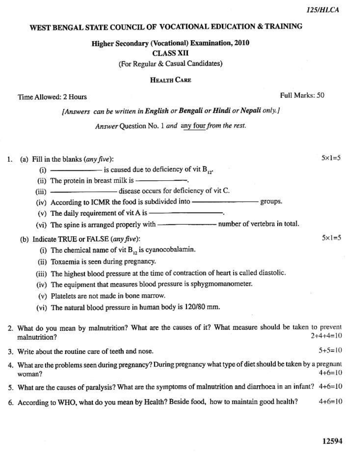$5+5=10$ 

## WEST BENGAL STATE COUNCIL OF VOCATIONAL EDUCATION & TRAINING

Higher Secondary (Vocational) Examination, 2010 **CLASS XII** 

(For Regular & Casual Candidates)

## HEALTH CARE

[Answers can be written in English or Bengali or Hindi or Nepali only.]

Answer Ouestion No. 1 and any four from the rest.

(a) Fill in the blanks  $(\textit{any five})$ : 1.

- (i)  $\frac{1}{\sqrt{1-\frac{1}{2}}\sqrt{1-\frac{1}{2}}\sqrt{1-\frac{1}{2}}\sqrt{1-\frac{1}{2}}\sqrt{1-\frac{1}{2}}\sqrt{1-\frac{1}{2}}\sqrt{1-\frac{1}{2}}\sqrt{1-\frac{1}{2}}\sqrt{1-\frac{1}{2}}\sqrt{1-\frac{1}{2}}\sqrt{1-\frac{1}{2}}\sqrt{1-\frac{1}{2}}\sqrt{1-\frac{1}{2}}\sqrt{1-\frac{1}{2}}\sqrt{1-\frac{1}{2}}\sqrt{1-\frac{1}{2}}\sqrt{1-\frac{1}{2}}\sqrt{1-\frac{1}{2}}\sqrt{1-\frac{1}{2}}\sqrt$
- 
- (iii) \_\_\_\_\_\_\_\_\_\_\_\_\_\_\_\_\_\_\_\_\_\_\_\_ disease occurs for deficiency of vit C.
- (iv) According to ICMR the food is subdivided into ------
- 
- 

## (b) Indicate TRUE or FALSE (any five):

- (i) The chemical name of vit  $B_{12}$  is cyanocobalamin.
- (ii) Toxaemia is seen during pregnancy.
- (iii) The highest blood pressure at the time of contraction of heart is called diastolic.
- (iv) The equipment that measures blood pressure is sphygmomanometer.
- (v) Platelets are not made in bone marrow.
- (vi) The natural blood pressure in human body is 120/80 mm.

2. What do you mean by malnutrition? What are the causes of it? What measure should be taken to prevent  $2+4+4=10$ malnutrition?

- 3. Write about the routine care of teeth and nose.
- 4. What are the problems seen during pregnancy? During pregnancy what type of diet should be taken by a pregnant  $4+6=10$ woman?
- 5. What are the causes of paralysis? What are the symptoms of malnutrition and diarrhoea in an infant? 4+6=10
- 6. According to WHO, what do you mean by Health? Beside food, how to maintain good health?  $4+6=10$

Time Allowed: 2 Hours

 $-$  groups.

 $5x1=5$ 

 $5 \times 1 = 5$ 

Full Marks: 50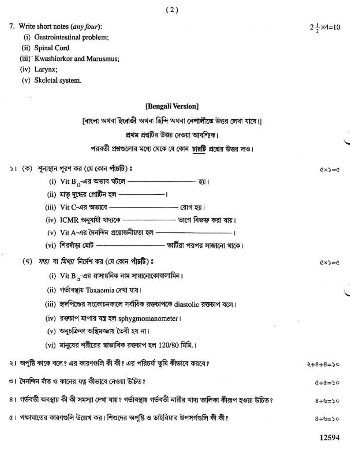$Q \times S = Q$ 

 $Q \times S = Q$ 

7. Write short notes (any four):

- (i) Gastrointestinal problem;
- (ii) Spinal Cord
- (iii) Kwashiorkor and Marusmus;
- (iv) Larynx;
- (v) Skeletal system.

#### [Bengali Version]

[বাংলা অথবা ইংরাজী অথবা হিন্দি অথবা নেপালীতে উত্তর লেখা যাবে।]

#### প্রথম প্রশ্নটির উত্তর দেওয়া আবশ্যিক।

## পরবর্তী প্রশ্নগুলোর মধ্যে থেকে যে কোন চারটি প্রশ্নের উত্তর দাও।

# ১। (ক) শূন্যস্থান পুরণ কর (যে কোন পাঁচটি) ঃ

- 
- $(ii)$  মাতৃ দুগ্ধের প্রোটিন হল –––––––––––।
- $(iii)$  Vit C-এর অভাবে  $\qquad$  (রাগ হয় ।
- 
- $(v)$  Vit A-এর দৈনন্দিন প্রয়োজনীয়তা হল – – –
- 

# (খ) *সত্য* বা *মিথা* নির্দেশ কর (যে কোন পাঁচটি) ঃ

- (i) Vit B এর রাসায়নিক নাম সায়ানোকোবালামিন।
- (ii) গৰ্ভাবস্থায় Toxaemia দেখা যায়।
- (iii) হৃদপিণ্ডের সংকোচনকালে সর্বাধিক রক্তচাপকে diastolic রক্তচাপ বলে।
- (iv) রক্তচাপ মাপার যন্ত্র হল sphygmomanometer ।
- (v) অনুচক্ৰিকা অস্থিমজ্জায় তৈরী হয় না।
- (vi) মানুষের শরীরের স্বাভাবিক রক্তচাপ হল 120/80 মিমি.।

# ২। অপুষ্টি কাকে বলে? এর কারণগুলি কী কী? এর পরিচর্যা তুমি কীভাবে করবে?

৩। দৈনন্দিন দাঁত ও কানের যত্ন কীভাবে নেওয়া উচিত?

- ৪। গর্ভবতী অবস্থায় কী কী সমস্যা দেখা যায়? গর্ভাবস্থায় গর্ভবতী নারীর খাদ্য তালিকা কীরূপ হওয়া উচিত?
- ৫। পক্ষাঘাতের কারণগুলি উল্লেখ কর। শিশুদের অপুষ্টি ও ডাইরিয়ার উপসর্গগুলি কী কী?

12594

 $2+8+8=50$ 

 $(4-0)=0$ 

 $0 \leq x + 8$ 

 $8 + 6 = 50$